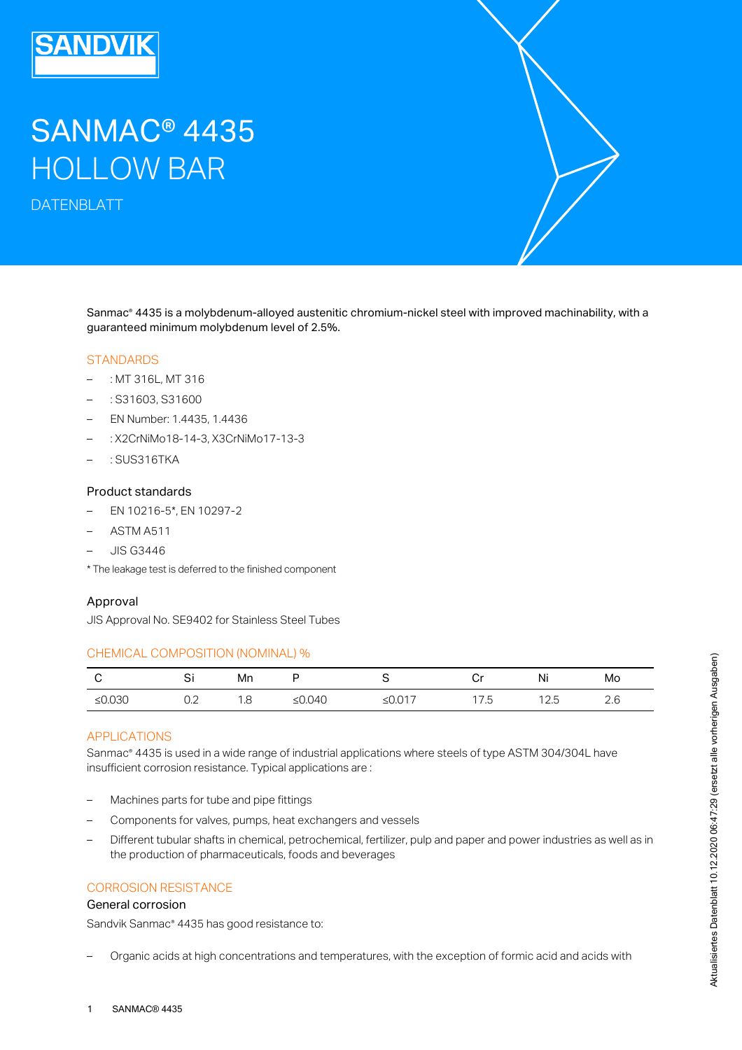# SANMAC® 4435 HOLLOW BAR

DATENBLATT

Sanmac<sup>®</sup> 4435 is a molybdenum-alloyed austenitic chromium-nickel steel with improved machinability, with a guaranteed minimum molybdenum level of 2.5%.

#### **STANDARDS**

- : MT 316L, MT 316
- : S31603, S31600
- EN Number: 1.4435, 1.4436
- : X2CrNiMo18-14-3, X3CrNiMo17-13-3
- : SUS316TKA

#### Product standards

- EN 10216-5\*, EN 10297-2
- ASTM A511
- JIS G3446
- \* The leakage test is deferred to the finished component

#### Approval

JIS Approval No. SE9402 for Stainless Steel Tubes

#### CHEMICAL COMPOSITION (NOMINAL) %

| C                                            | Si                                        | Mn  | P                                                            | S                                                                                                                  | Cr   | Ni   | Mo  |
|----------------------------------------------|-------------------------------------------|-----|--------------------------------------------------------------|--------------------------------------------------------------------------------------------------------------------|------|------|-----|
| ≤ $0.030$                                    | 0.2                                       | 1.8 | ≤ $0.040$                                                    | ≤ $0.017$                                                                                                          | 17.5 | 12.5 | 2.6 |
| <b>APPLICATIONS</b>                          |                                           |     |                                                              |                                                                                                                    |      |      |     |
|                                              |                                           |     |                                                              | Sanmac® 4435 is used in a wide range of industrial applications where steels of type ASTM 304/304L have            |      |      |     |
|                                              |                                           |     | insufficient corrosion resistance. Typical applications are: |                                                                                                                    |      |      |     |
|                                              |                                           |     |                                                              |                                                                                                                    |      |      |     |
| -                                            | Machines parts for tube and pipe fittings |     |                                                              |                                                                                                                    |      |      |     |
| $\qquad \qquad -$                            |                                           |     | Components for valves, pumps, heat exchangers and vessels    |                                                                                                                    |      |      |     |
| $\overline{\phantom{0}}$                     |                                           |     |                                                              | Different tubular shafts in chemical, petrochemical, fertilizer, pulp and paper and power industries as well as in |      |      |     |
|                                              |                                           |     | the production of pharmaceuticals, foods and beverages       |                                                                                                                    |      |      |     |
|                                              |                                           |     |                                                              |                                                                                                                    |      |      |     |
| <b>CORROSION RESISTANCE</b>                  |                                           |     |                                                              |                                                                                                                    |      |      |     |
| General corrosion                            |                                           |     |                                                              |                                                                                                                    |      |      |     |
| Sandvik Sanmac® 4435 has good resistance to: |                                           |     |                                                              |                                                                                                                    |      |      |     |
|                                              |                                           |     |                                                              |                                                                                                                    |      |      |     |
|                                              |                                           |     |                                                              | Organic acids at high concentrations and temperatures, with the exception of formic acid and acids with            |      |      |     |
|                                              |                                           |     |                                                              |                                                                                                                    |      |      |     |
|                                              |                                           |     |                                                              |                                                                                                                    |      |      |     |

# APPLICATIONS

- Machines parts for tube and pipe fittings
- Components for valves, pumps, heat exchangers and vessels
- Different tubular shafts in chemical, petrochemical, fertilizer, pulp and paper and power industries as well as in the production of pharmaceuticals, foods and beverages –

# CORROSION RESISTANCE

#### General corrosion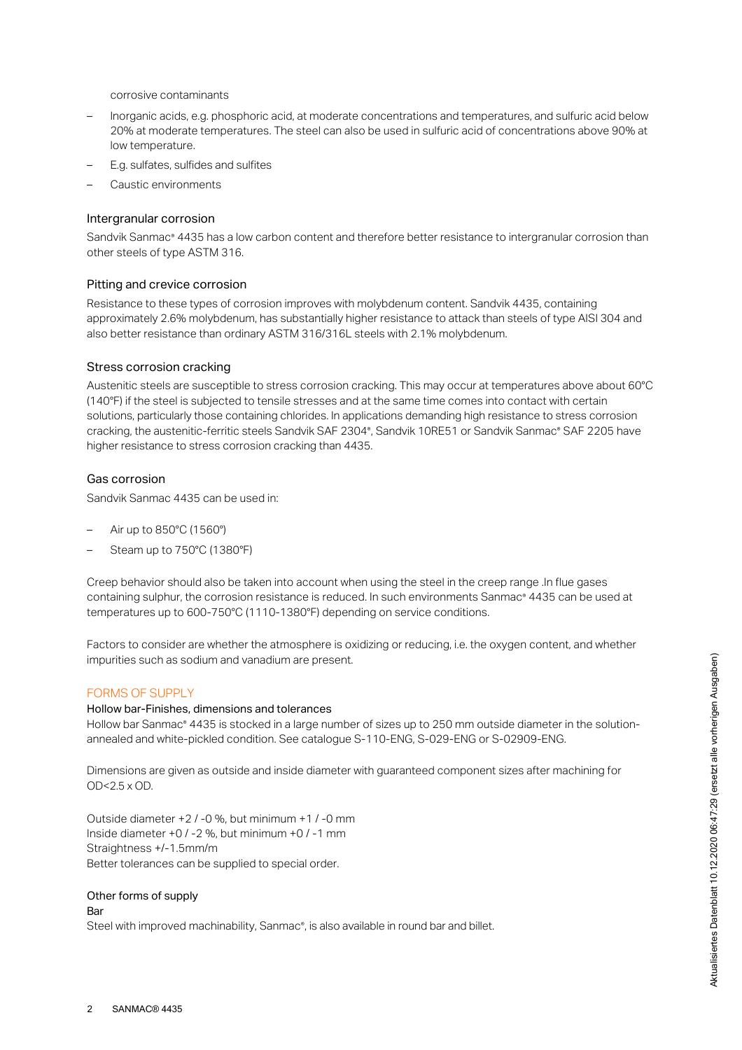corrosive contaminants

- Inorganic acids, e.g. phosphoric acid, at moderate concentrations and temperatures, and sulfuric acid below 20% at moderate temperatures. The steel can also be used in sulfuric acid of concentrations above 90% at low temperature. –
- E.g. sulfates, sulfides and sulfites
- Caustic environments

#### Intergranular corrosion

Sandvik Sanmac® 4435 has a low carbon content and therefore better resistance to intergranular corrosion than other steels of type ASTM 316.

#### Pitting and crevice corrosion

Resistance to these types of corrosion improves with molybdenum content. Sandvik 4435, containing approximately 2.6% molybdenum, has substantially higher resistance to attack than steels of type AISI 304 and also better resistance than ordinary ASTM 316/316L steels with 2.1% molybdenum.

#### Stress corrosion cracking

Austenitic steels are susceptible to stress corrosion cracking. This may occur at temperatures above about 60°C (140°F) if the steel is subjected to tensile stresses and at the same time comes into contact with certain solutions, particularly those containing chlorides. In applications demanding high resistance to stress corrosion cracking, the austenitic-ferritic steels Sandvik SAF 2304°, Sandvik 10RE51 or Sandvik Sanmac° SAF 2205 have higher resistance to stress corrosion cracking than 4435.

#### Gas corrosion

Sandvik Sanmac 4435 can be used in:

- Air up to 850°C (1560°)
- Steam up to 750°C (1380°F)

Creep behavior should also be taken into account when using the steel in the creep range .In flue gases containing sulphur, the corrosion resistance is reduced. In such environments Sanmac® 4435 can be used at temperatures up to 600-750°C (1110-1380°F) depending on service conditions.

Factors to consider are whether the atmosphere is oxidizing or reducing, i.e. the oxygen content, and whether impurities such as sodium and vanadium are present.

#### FORMS OF SUPPLY

#### Hollow bar-Finishes, dimensions and tolerances

Hollow bar Sanmac® 4435 is stocked in a large number of sizes up to 250 mm outside diameter in the solutionannealed and white-pickled condition. See catalogue S-110-ENG, S-029-ENG or S-02909-ENG.

Dimensions are given as outside and inside diameter with guaranteed component sizes after machining for OD<2.5 x OD.

Outside diameter +2 / -0 %, but minimum +1 / -0 mm Inside diameter +0 / -2 %, but minimum +0 / -1 mm Straightness +/-1.5mm/m Better tolerances can be supplied to special order.

#### Other forms of supply

#### Bar

Steel with improved machinability, Sanmac®, is also available in round bar and billet.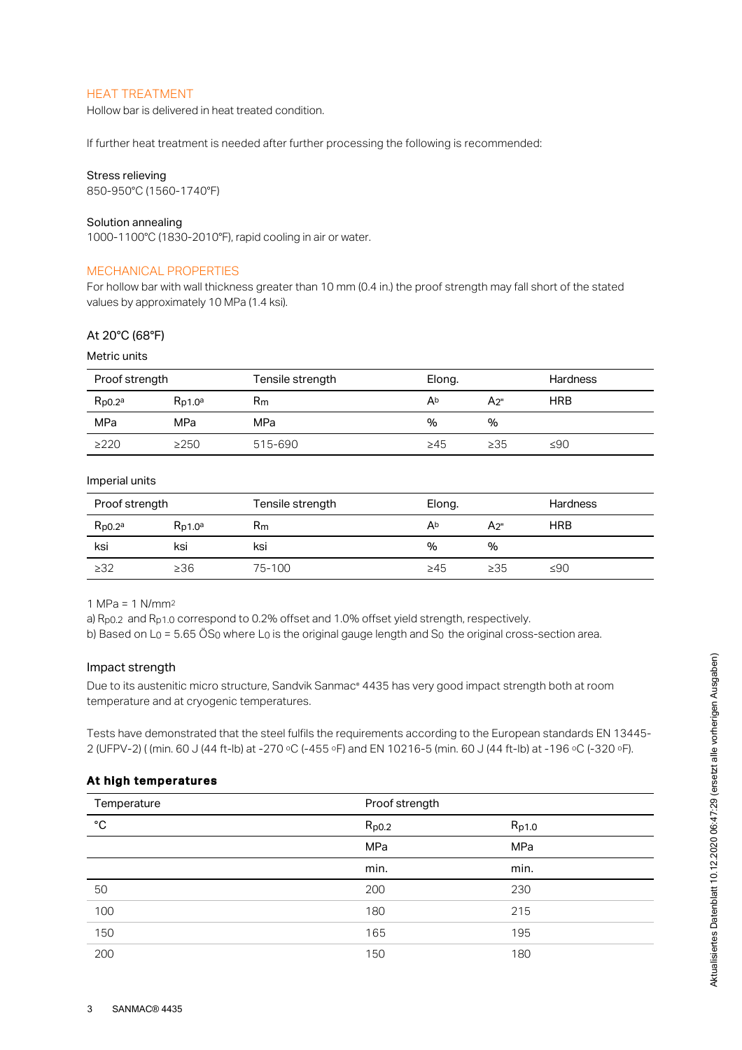# HEAT TREATMENT

Hollow bar is delivered in heat treated condition.

If further heat treatment is needed after further processing the following is recommended:

#### Stress relieving

850-950°C (1560-1740°F)

#### Solution annealing

1000-1100°C (1830-2010°F), rapid cooling in air or water.

#### MECHANICAL PROPERTIES

For hollow bar with wall thickness greater than 10 mm (0.4 in.) the proof strength may fall short of the stated values by approximately 10 MPa (1.4 ksi).

# At 20°C (68°F)

Metric units

| Proof strength               |              | Tensile strength | Elong.    |           | <b>Hardness</b> |
|------------------------------|--------------|------------------|-----------|-----------|-----------------|
| $R_{\text{D}0.2}^{\text{a}}$ | $R_{D1,0}$ a | $R_{m}$          | Ab        | A2"       | <b>HRB</b>      |
| MPa                          | MPa          | MPa              | %         | %         |                 |
| $\geq$ 220                   | $\geq$ 250   | 515-690          | $\geq 45$ | $\geq$ 35 | ≤90             |

Imperial units

| Proof strength |              | Tensile strength | Elong.    |           | <b>Hardness</b> |
|----------------|--------------|------------------|-----------|-----------|-----------------|
| $R_{p0.2a}$    | $R_{D1,0}$ a | $R_{m}$          | Ab        | A2"       | <b>HRB</b>      |
| ksi            | ksi          | ksi              | %         | %         |                 |
| $\geq$ 32      | $\geq 36$    | 75-100           | $\geq 45$ | $\geq$ 35 | ≤90             |

1 MPa = 1 N/mm 2

a)  $R_{p0.2}$  and  $R_{p1.0}$  correspond to 0.2% offset and 1.0% offset yield strength, respectively.

b) Based on L $_{\rm O}$  = 5.65 OS $_{\rm O}$  where L $_{\rm O}$  is the original gauge length and S $_{\rm O}$  the original cross-section area.

## Impact strength

#### At high temperatures

| Impact strength<br>Due to its austenitic micro structure, Sandvik Sanmac <sup>®</sup> 4435 has very good impact strength both at room<br>temperature and at cryogenic temperatures.                                                 |                |       |  |  |  |  |
|-------------------------------------------------------------------------------------------------------------------------------------------------------------------------------------------------------------------------------------|----------------|-------|--|--|--|--|
| Tests have demonstrated that the steel fulfils the requirements according to the European standards EN 13445-<br>2 (UFPV-2) ( (min. 60 J (44 ft-lb) at -270 °C (-455 °F) and EN 10216-5 (min. 60 J (44 ft-lb) at -196 °C (-320 °F). |                |       |  |  |  |  |
| At high temperatures                                                                                                                                                                                                                |                |       |  |  |  |  |
| Temperature                                                                                                                                                                                                                         | Proof strength |       |  |  |  |  |
| °C                                                                                                                                                                                                                                  | $R_{p0.2}$     | Rp1.0 |  |  |  |  |
|                                                                                                                                                                                                                                     | MPa            | MPa   |  |  |  |  |
|                                                                                                                                                                                                                                     | min.           | min.  |  |  |  |  |
| 50                                                                                                                                                                                                                                  | 200            | 230   |  |  |  |  |
| 100                                                                                                                                                                                                                                 | 180            | 215   |  |  |  |  |
| 150                                                                                                                                                                                                                                 | 165            | 195   |  |  |  |  |
| 200                                                                                                                                                                                                                                 | 150            | 180   |  |  |  |  |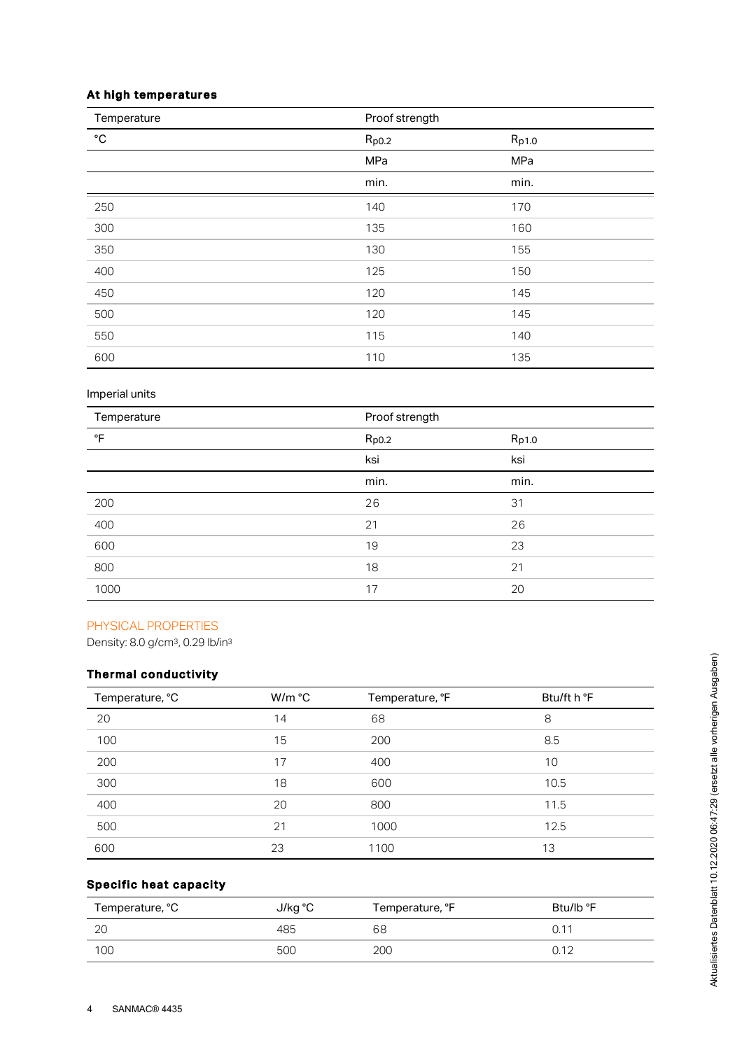# At high temperatures

| Temperature  | Proof strength |       |
|--------------|----------------|-------|
| $^{\circ}$ C | $R_{p0.2}$     | Rp1.0 |
|              | MPa            | MPa   |
|              | min.           | min.  |
| 250          | 140            | 170   |
| 300          | 135            | 160   |
| 350          | 130            | 155   |
| 400          | 125            | 150   |
| 450          | 120            | 145   |
| 500          | 120            | 145   |
| 550          | 115            | 140   |
| 600          | 110            | 135   |

# Imperial units

| Temperature | Proof strength |       |
|-------------|----------------|-------|
| °F          | $R_{p0.2}$     | Rp1.0 |
|             | ksi            | ksi   |
|             | min.           | min.  |
| 200         | 26             | 31    |
| 400         | 21             | 26    |
| 600         | 19             | 23    |
| 800         | 18             | 21    |
| 1000        | 17             | 20    |

# PHYSICAL PROPERTIES

Density: 8.0 g/cm<sup>3</sup>, 0.29 lb/in<sup>3</sup>

# Thermal conductivity

| Temperature, °C | W/m °C | Temperature, °F | Btu/ft h °F |
|-----------------|--------|-----------------|-------------|
| 20              | 14     | 68              | 8           |
| 100             | 15     | 200             | 8.5         |
| 200             | 17     | 400             | 10          |
| 300             | 18     | 600             | 10.5        |
| 400             | 20     | 800             | 11.5        |
| 500             | 21     | 1000            | 12.5        |
| 600             | 23     | 1100            | 13          |

# Specific heat capacity

| Temperature, °C | J/kg °C | Temperature, °F | Btu/lb °F       |
|-----------------|---------|-----------------|-----------------|
| 2C              | 485     | 68              | $0.1^{\degree}$ |
| 100             | 500     | 200             | 0.12            |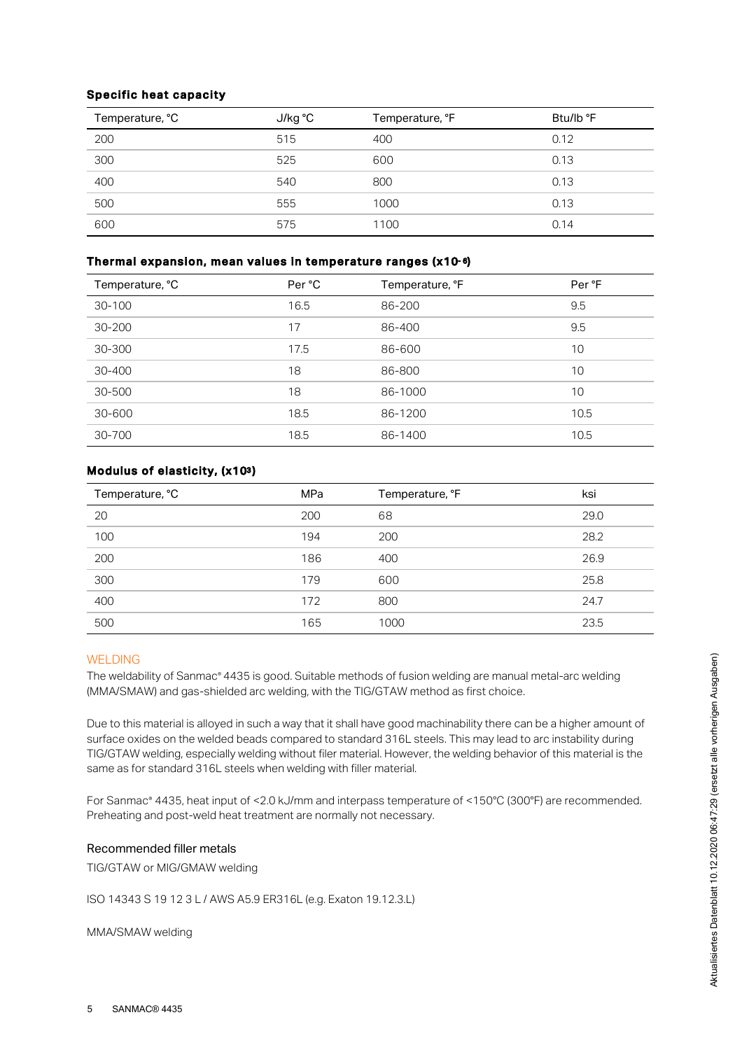# Specific heat capacity

| Temperature, °C | J/kg °C | Temperature, °F | Btu/lb °F |
|-----------------|---------|-----------------|-----------|
| 200             | 515     | 400             | 0.12      |
| 300             | 525     | 600             | 0.13      |
| 400             | 540     | 800             | 0.13      |
| 500             | 555     | 1000            | 0.13      |
| 600             | 575     | 1100            | 0.14      |

# Thermal expansion, mean values in temperature ranges (x10-6)

| Temperature, °C | Per °C | Temperature, °F | Per °F |
|-----------------|--------|-----------------|--------|
| 30-100          | 16.5   | 86-200          | 9.5    |
| 30-200          | 17     | 86-400          | 9.5    |
| 30-300          | 17.5   | 86-600          | 10     |
| 30-400          | 18     | 86-800          | 10     |
| 30-500          | 18     | 86-1000         | 10     |
| 30-600          | 18.5   | 86-1200         | 10.5   |
| 30-700          | 18.5   | 86-1400         | 10.5   |

# Modulus of elasticity, (x103)

| Temperature, °C | <b>MPa</b> | Temperature, °F | ksi  |
|-----------------|------------|-----------------|------|
| 20              | 200        | 68              | 29.0 |
| 100             | 194        | 200             | 28.2 |
| 200             | 186        | 400             | 26.9 |
| 300             | 179        | 600             | 25.8 |
| 400             | 172        | 800             | 24.7 |
| 500             | 165        | 1000            | 23.5 |

# WELDING

The weldability of Sanmac® 4435 is good. Suitable methods of fusion welding are manual metal-arc welding (MMA/SMAW) and gas-shielded arc welding, with the TIG/GTAW method as first choice.

Due to this material is alloyed in such a way that it shall have good machinability there can be a higher amount of surface oxides on the welded beads compared to standard 316L steels. This may lead to arc instability during TIG/GTAW welding, especially welding without filer material. However, the welding behavior of this material is the same as for standard 316L steels when welding with filler material.

For Sanmac® 4435, heat input of <2.0 kJ/mm and interpass temperature of <150°C (300°F) are recommended. Preheating and post-weld heat treatment are normally not necessary.

# Recommended filler metals

TIG/GTAW or MIG/GMAW welding

ISO 14343 S 19 12 3 L / AWS A5.9 ER316L (e.g. Exaton 19.12.3.L)

MMA/SMAW welding